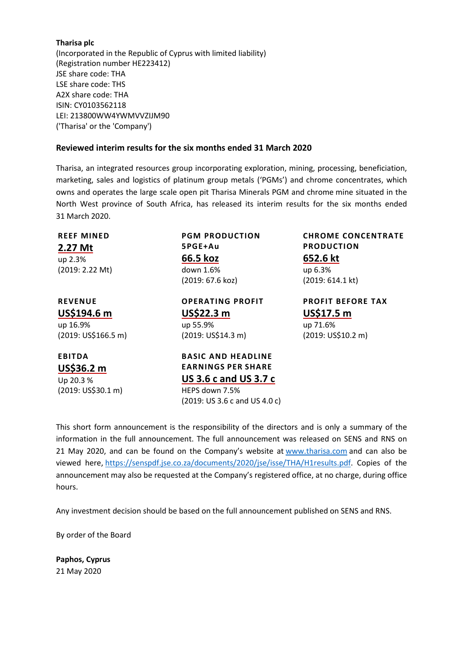## **Tharisa plc**

(Incorporated in the Republic of Cyprus with limited liability) (Registration number HE223412) JSE share code: THA LSE share code: THS A2X share code: THA ISIN: CY0103562118 LEI: 213800WW4YWMVVZIJM90 ('Tharisa' or the 'Company')

#### **Reviewed interim results for the six months ended 31 March 2020**

Tharisa, an integrated resources group incorporating exploration, mining, processing, beneficiation, marketing, sales and logistics of platinum group metals ('PGMs') and chrome concentrates, which owns and operates the large scale open pit Tharisa Minerals PGM and chrome mine situated in the North West province of South Africa, has released its interim results for the six months ended 31 March 2020.

**REEF MINED 2.27 Mt** up 2.3% (2019: 2.22 Mt) **PGM PRODUCTION 5PGE+Au 66.5 koz** down 1.6% (2019: 67.6 koz) **CHROME CONCENTRATE PRODUCTION 652.6 kt** up 6.3% (2019: 614.1 kt) **REVENUE US\$194.6 m** up 16.9% (2019: US\$166.5 m) **OPERATING PROFIT US\$22.3 m** up 55.9% (2019: US\$14.3 m) **PROFIT BEFORE TAX US\$17.5 m** up 71.6% (2019: US\$10.2 m) **EBITDA US\$36.2 m** Up 20.3 % (2019: US\$30.1 m) **BASIC AND HEADLINE EARNINGS PER SHARE US 3.6 c and US 3.7 c** HEPS down 7.5% (2019: US 3.6 c and US 4.0 c)

This short form announcement is the responsibility of the directors and is only a summary of the information in the full announcement. The full announcement was released on SENS and RNS on 21 May 2020, and can be found on the Company's website at [www.tharisa.com](http://www.tharisa.com/) and can also be viewed here, [https://senspdf.jse.co.za/documents/2020/jse/isse/THA/H1results.pdf.](https://senspdf.jse.co.za/documents/2020/jse/isse/THA/H1results.pdf) Copies of the announcement may also be requested at the Company's registered office, at no charge, during office hours.

Any investment decision should be based on the full announcement published on SENS and RNS.

By order of the Board

**Paphos, Cyprus** 21 May 2020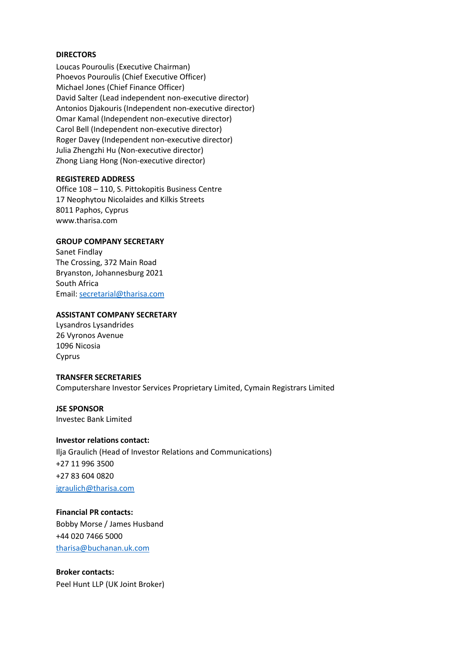## **DIRECTORS**

Loucas Pouroulis (Executive Chairman) Phoevos Pouroulis (Chief Executive Officer) Michael Jones (Chief Finance Officer) David Salter (Lead independent non-executive director) Antonios Djakouris (Independent non-executive director) Omar Kamal (Independent non-executive director) Carol Bell (Independent non-executive director) Roger Davey (Independent non-executive director) Julia Zhengzhi Hu (Non-executive director) Zhong Liang Hong (Non-executive director)

## **REGISTERED ADDRESS**

Office 108 – 110, S. Pittokopitis Business Centre 17 Neophytou Nicolaides and Kilkis Streets 8011 Paphos, Cyprus www.tharisa.com

## **GROUP COMPANY SECRETARY**

Sanet Findlay The Crossing, 372 Main Road Bryanston, Johannesburg 2021 South Africa Email: [secretarial@tharisa.com](mailto:secretarial@tharisa.com)

## **ASSISTANT COMPANY SECRETARY**

Lysandros Lysandrides 26 Vyronos Avenue 1096 Nicosia Cyprus

## **TRANSFER SECRETARIES**

Computershare Investor Services Proprietary Limited, Cymain Registrars Limited

# **JSE SPONSOR**

Investec Bank Limited

## **Investor relations contact:**

Ilja Graulich (Head of Investor Relations and Communications) +27 11 996 3500 +27 83 604 0820 [igraulich@tharisa.com](mailto:igraulich@tharisa.com)

## **Financial PR contacts:**

Bobby Morse / James Husband +44 020 7466 5000 [tharisa@buchanan.uk.com](mailto:tharisa@buchanan.uk.com)

**Broker contacts:** Peel Hunt LLP (UK Joint Broker)